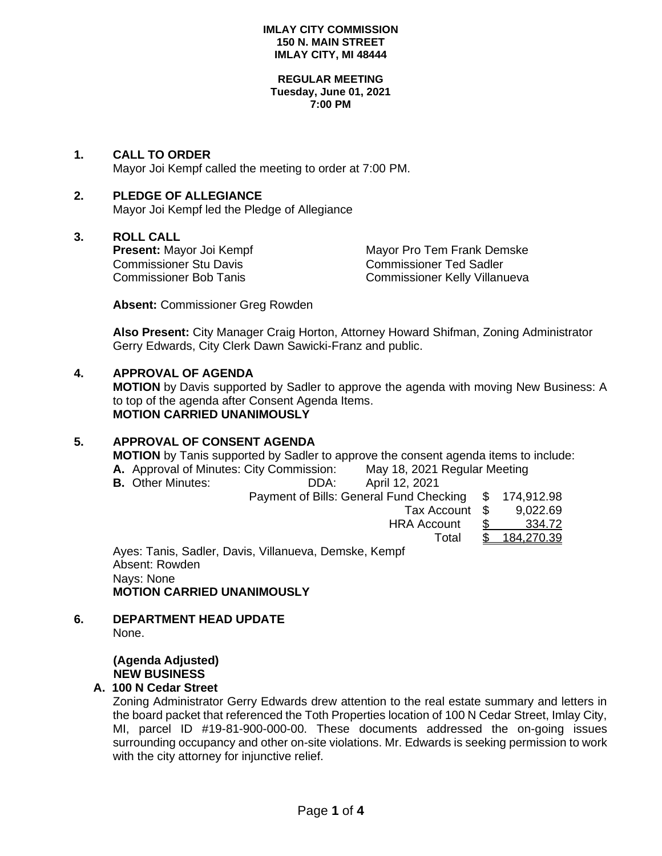#### **IMLAY CITY COMMISSION 150 N. MAIN STREET IMLAY CITY, MI 48444**

#### **REGULAR MEETING Tuesday, June 01, 2021 7:00 PM**

**1. CALL TO ORDER** Mayor Joi Kempf called the meeting to order at 7:00 PM.

# **2. PLEDGE OF ALLEGIANCE**

Mayor Joi Kempf led the Pledge of Allegiance

## **3. ROLL CALL**

Commissioner Stu Davis Commissioner Ted Sadler

**Present:** Mayor Joi Kempf Mayor Pro Tem Frank Demske Commissioner Bob Tanis Commissioner Kelly Villanueva

**Absent:** Commissioner Greg Rowden

**Also Present:** City Manager Craig Horton, Attorney Howard Shifman, Zoning Administrator Gerry Edwards, City Clerk Dawn Sawicki-Franz and public.

## **4. APPROVAL OF AGENDA**

**MOTION** by Davis supported by Sadler to approve the agenda with moving New Business: A to top of the agenda after Consent Agenda Items. **MOTION CARRIED UNANIMOUSLY**

# **5. APPROVAL OF CONSENT AGENDA**

**MOTION** by Tanis supported by Sadler to approve the consent agenda items to include:

| A. Approval of Minutes: City Commission: |                                                       | May 18, 2021 Regular Meeting |  |  |
|------------------------------------------|-------------------------------------------------------|------------------------------|--|--|
| <b>B.</b> Other Minutes:                 | DDA:                                                  | April 12, 2021               |  |  |
|                                          | Payment of Bills: General Fund Checking \$ 174,912.98 |                              |  |  |

 Tax Account \$ 9,022.69 HRA Account \$ 334.72 Total \$ 184,270.39

Ayes: Tanis, Sadler, Davis, Villanueva, Demske, Kempf Absent: Rowden Nays: None **MOTION CARRIED UNANIMOUSLY**

#### **6. DEPARTMENT HEAD UPDATE** None.

# **(Agenda Adjusted) NEW BUSINESS**

## **A. 100 N Cedar Street**

Zoning Administrator Gerry Edwards drew attention to the real estate summary and letters in the board packet that referenced the Toth Properties location of 100 N Cedar Street, Imlay City, MI, parcel ID #19-81-900-000-00. These documents addressed the on-going issues surrounding occupancy and other on-site violations. Mr. Edwards is seeking permission to work with the city attorney for injunctive relief.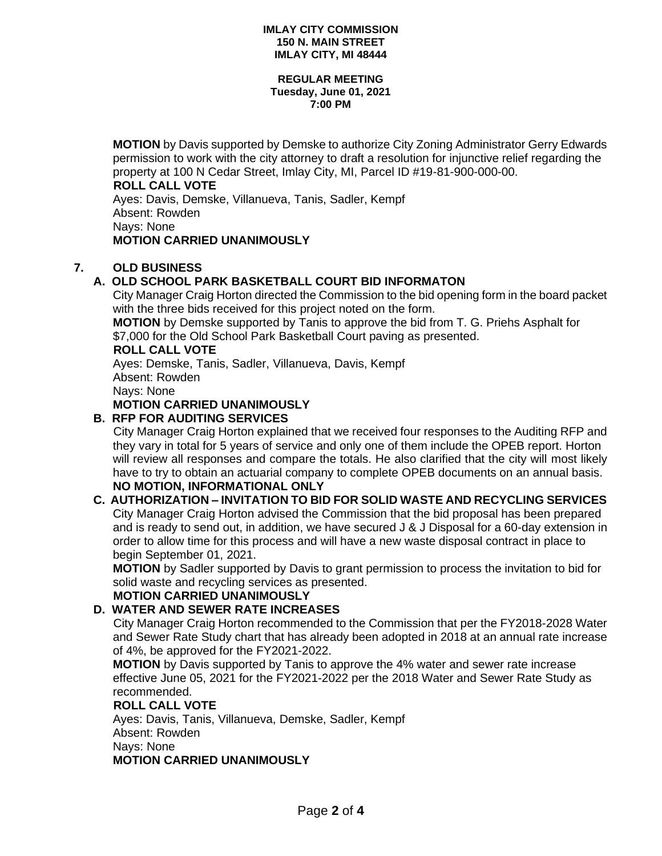#### **IMLAY CITY COMMISSION 150 N. MAIN STREET IMLAY CITY, MI 48444**

#### **REGULAR MEETING Tuesday, June 01, 2021 7:00 PM**

**MOTION** by Davis supported by Demske to authorize City Zoning Administrator Gerry Edwards permission to work with the city attorney to draft a resolution for injunctive relief regarding the property at 100 N Cedar Street, Imlay City, MI, Parcel ID #19-81-900-000-00.

### **ROLL CALL VOTE**

Ayes: Davis, Demske, Villanueva, Tanis, Sadler, Kempf Absent: Rowden Nays: None **MOTION CARRIED UNANIMOUSLY**

# **7. OLD BUSINESS**

# **A. OLD SCHOOL PARK BASKETBALL COURT BID INFORMATON**

City Manager Craig Horton directed the Commission to the bid opening form in the board packet with the three bids received for this project noted on the form.

**MOTION** by Demske supported by Tanis to approve the bid from T. G. Priehs Asphalt for \$7,000 for the Old School Park Basketball Court paving as presented.

## **ROLL CALL VOTE**

Ayes: Demske, Tanis, Sadler, Villanueva, Davis, Kempf Absent: Rowden Nays: None

# **MOTION CARRIED UNANIMOUSLY**

## **B. RFP FOR AUDITING SERVICES**

City Manager Craig Horton explained that we received four responses to the Auditing RFP and they vary in total for 5 years of service and only one of them include the OPEB report. Horton will review all responses and compare the totals. He also clarified that the city will most likely have to try to obtain an actuarial company to complete OPEB documents on an annual basis.

# **NO MOTION, INFORMATIONAL ONLY**

### **C. AUTHORIZATION – INVITATION TO BID FOR SOLID WASTE AND RECYCLING SERVICES** City Manager Craig Horton advised the Commission that the bid proposal has been prepared and is ready to send out, in addition, we have secured J & J Disposal for a 60-day extension in order to allow time for this process and will have a new waste disposal contract in place to begin September 01, 2021.

**MOTION** by Sadler supported by Davis to grant permission to process the invitation to bid for solid waste and recycling services as presented.

# **MOTION CARRIED UNANIMOUSLY**

## **D. WATER AND SEWER RATE INCREASES**

City Manager Craig Horton recommended to the Commission that per the FY2018-2028 Water and Sewer Rate Study chart that has already been adopted in 2018 at an annual rate increase of 4%, be approved for the FY2021-2022.

**MOTION** by Davis supported by Tanis to approve the 4% water and sewer rate increase effective June 05, 2021 for the FY2021-2022 per the 2018 Water and Sewer Rate Study as recommended.

#### **ROLL CALL VOTE**

Ayes: Davis, Tanis, Villanueva, Demske, Sadler, Kempf Absent: Rowden Nays: None **MOTION CARRIED UNANIMOUSLY**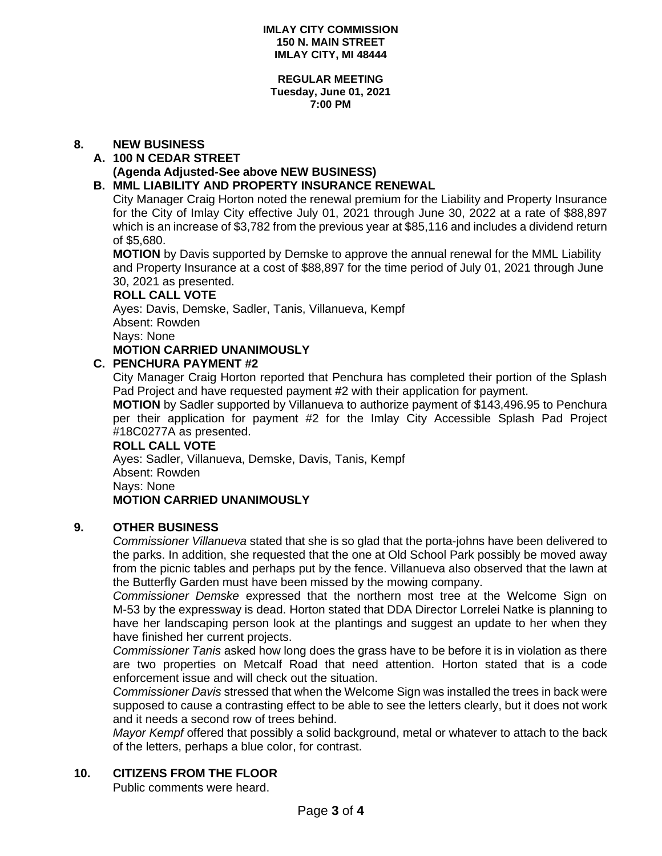#### **REGULAR MEETING Tuesday, June 01, 2021 7:00 PM**

## **8. NEW BUSINESS**

# **A. 100 N CEDAR STREET**

### **(Agenda Adjusted-See above NEW BUSINESS)**

## **B. MML LIABILITY AND PROPERTY INSURANCE RENEWAL**

City Manager Craig Horton noted the renewal premium for the Liability and Property Insurance for the City of Imlay City effective July 01, 2021 through June 30, 2022 at a rate of \$88,897 which is an increase of \$3,782 from the previous year at \$85,116 and includes a dividend return of \$5,680.

**MOTION** by Davis supported by Demske to approve the annual renewal for the MML Liability and Property Insurance at a cost of \$88,897 for the time period of July 01, 2021 through June 30, 2021 as presented.

#### **ROLL CALL VOTE**

Ayes: Davis, Demske, Sadler, Tanis, Villanueva, Kempf Absent: Rowden

Nays: None

# **MOTION CARRIED UNANIMOUSLY**

### **C. PENCHURA PAYMENT #2**

City Manager Craig Horton reported that Penchura has completed their portion of the Splash Pad Project and have requested payment #2 with their application for payment.

**MOTION** by Sadler supported by Villanueva to authorize payment of \$143,496.95 to Penchura per their application for payment #2 for the Imlay City Accessible Splash Pad Project #18C0277A as presented.

## **ROLL CALL VOTE**

Ayes: Sadler, Villanueva, Demske, Davis, Tanis, Kempf Absent: Rowden Nays: None **MOTION CARRIED UNANIMOUSLY**

#### **9. OTHER BUSINESS**

*Commissioner Villanueva* stated that she is so glad that the porta-johns have been delivered to the parks. In addition, she requested that the one at Old School Park possibly be moved away from the picnic tables and perhaps put by the fence. Villanueva also observed that the lawn at the Butterfly Garden must have been missed by the mowing company.

*Commissioner Demske* expressed that the northern most tree at the Welcome Sign on M-53 by the expressway is dead. Horton stated that DDA Director Lorrelei Natke is planning to have her landscaping person look at the plantings and suggest an update to her when they have finished her current projects.

*Commissioner Tanis* asked how long does the grass have to be before it is in violation as there are two properties on Metcalf Road that need attention. Horton stated that is a code enforcement issue and will check out the situation.

*Commissioner Davis* stressed that when the Welcome Sign was installed the trees in back were supposed to cause a contrasting effect to be able to see the letters clearly, but it does not work and it needs a second row of trees behind.

*Mayor Kempf* offered that possibly a solid background, metal or whatever to attach to the back of the letters, perhaps a blue color, for contrast.

## **10. CITIZENS FROM THE FLOOR**

Public comments were heard.